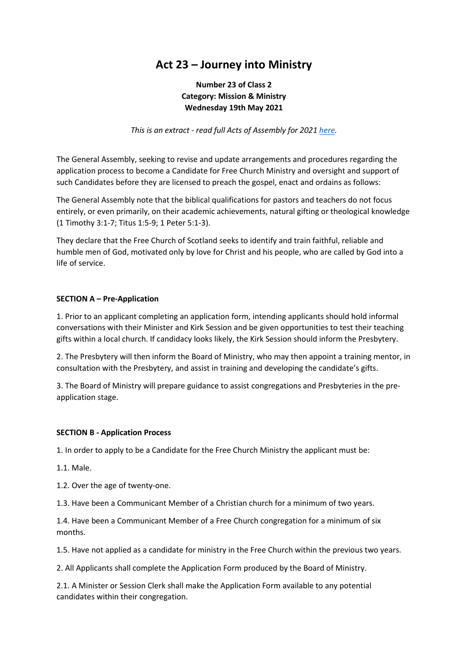# **Act 23 – Journey into Ministry**

# **Number 23 of Class 2 Category: Mission & Ministry Wednesday 19th May 2021**

*This is an extract - read full Acts of Assembly for 2021 [here.](https://freechurch.org/wp-content/uploads/2021/08/2021-Acts-of-Assembly-.pdf)*

The General Assembly, seeking to revise and update arrangements and procedures regarding the application process to become a Candidate for Free Church Ministry and oversight and support of such Candidates before they are licensed to preach the gospel, enact and ordains as follows:

The General Assembly note that the biblical qualifications for pastors and teachers do not focus entirely, or even primarily, on their academic achievements, natural gifting or theological knowledge (1 Timothy 3:1-7; Titus 1:5-9; 1 Peter 5:1-3).

They declare that the Free Church of Scotland seeks to identify and train faithful, reliable and humble men of God, motivated only by love for Christ and his people, who are called by God into a life of service.

### **SECTION A – Pre-Application**

1. Prior to an applicant completing an application form, intending applicants should hold informal conversations with their Minister and Kirk Session and be given opportunities to test their teaching gifts within a local church. If candidacy looks likely, the Kirk Session should inform the Presbytery.

2. The Presbytery will then inform the Board of Ministry, who may then appoint a training mentor, in consultation with the Presbytery, and assist in training and developing the candidate's gifts.

3. The Board of Ministry will prepare guidance to assist congregations and Presbyteries in the preapplication stage.

#### **SECTION B - Application Process**

1. In order to apply to be a Candidate for the Free Church Ministry the applicant must be:

1.1. Male.

1.2. Over the age of twenty-one.

1.3. Have been a Communicant Member of a Christian church for a minimum of two years.

1.4. Have been a Communicant Member of a Free Church congregation for a minimum of six months.

1.5. Have not applied as a candidate for ministry in the Free Church within the previous two years.

2. All Applicants shall complete the Application Form produced by the Board of Ministry.

2.1. A Minister or Session Clerk shall make the Application Form available to any potential candidates within their congregation.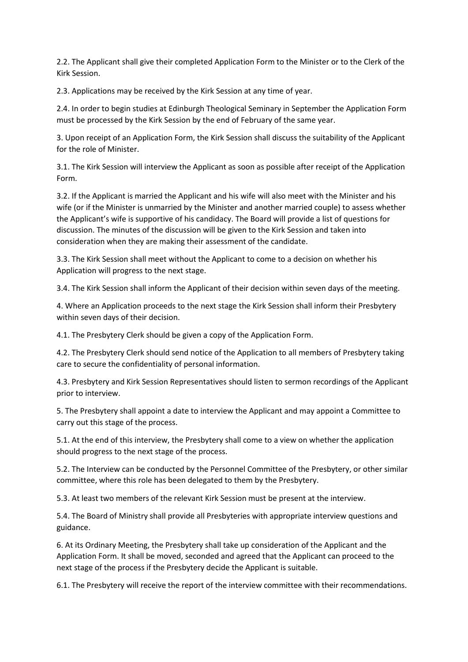2.2. The Applicant shall give their completed Application Form to the Minister or to the Clerk of the Kirk Session.

2.3. Applications may be received by the Kirk Session at any time of year.

2.4. In order to begin studies at Edinburgh Theological Seminary in September the Application Form must be processed by the Kirk Session by the end of February of the same year.

3. Upon receipt of an Application Form, the Kirk Session shall discuss the suitability of the Applicant for the role of Minister.

3.1. The Kirk Session will interview the Applicant as soon as possible after receipt of the Application Form.

3.2. If the Applicant is married the Applicant and his wife will also meet with the Minister and his wife (or if the Minister is unmarried by the Minister and another married couple) to assess whether the Applicant's wife is supportive of his candidacy. The Board will provide a list of questions for discussion. The minutes of the discussion will be given to the Kirk Session and taken into consideration when they are making their assessment of the candidate.

3.3. The Kirk Session shall meet without the Applicant to come to a decision on whether his Application will progress to the next stage.

3.4. The Kirk Session shall inform the Applicant of their decision within seven days of the meeting.

4. Where an Application proceeds to the next stage the Kirk Session shall inform their Presbytery within seven days of their decision.

4.1. The Presbytery Clerk should be given a copy of the Application Form.

4.2. The Presbytery Clerk should send notice of the Application to all members of Presbytery taking care to secure the confidentiality of personal information.

4.3. Presbytery and Kirk Session Representatives should listen to sermon recordings of the Applicant prior to interview.

5. The Presbytery shall appoint a date to interview the Applicant and may appoint a Committee to carry out this stage of the process.

5.1. At the end of this interview, the Presbytery shall come to a view on whether the application should progress to the next stage of the process.

5.2. The Interview can be conducted by the Personnel Committee of the Presbytery, or other similar committee, where this role has been delegated to them by the Presbytery.

5.3. At least two members of the relevant Kirk Session must be present at the interview.

5.4. The Board of Ministry shall provide all Presbyteries with appropriate interview questions and guidance.

6. At its Ordinary Meeting, the Presbytery shall take up consideration of the Applicant and the Application Form. It shall be moved, seconded and agreed that the Applicant can proceed to the next stage of the process if the Presbytery decide the Applicant is suitable.

6.1. The Presbytery will receive the report of the interview committee with their recommendations.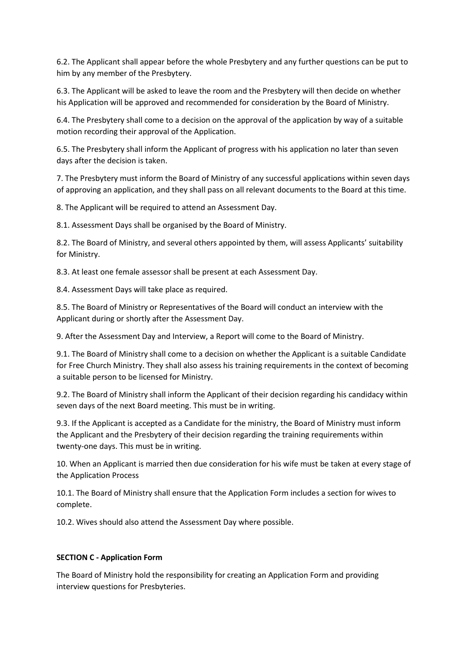6.2. The Applicant shall appear before the whole Presbytery and any further questions can be put to him by any member of the Presbytery.

6.3. The Applicant will be asked to leave the room and the Presbytery will then decide on whether his Application will be approved and recommended for consideration by the Board of Ministry.

6.4. The Presbytery shall come to a decision on the approval of the application by way of a suitable motion recording their approval of the Application.

6.5. The Presbytery shall inform the Applicant of progress with his application no later than seven days after the decision is taken.

7. The Presbytery must inform the Board of Ministry of any successful applications within seven days of approving an application, and they shall pass on all relevant documents to the Board at this time.

8. The Applicant will be required to attend an Assessment Day.

8.1. Assessment Days shall be organised by the Board of Ministry.

8.2. The Board of Ministry, and several others appointed by them, will assess Applicants' suitability for Ministry.

8.3. At least one female assessor shall be present at each Assessment Day.

8.4. Assessment Days will take place as required.

8.5. The Board of Ministry or Representatives of the Board will conduct an interview with the Applicant during or shortly after the Assessment Day.

9. After the Assessment Day and Interview, a Report will come to the Board of Ministry.

9.1. The Board of Ministry shall come to a decision on whether the Applicant is a suitable Candidate for Free Church Ministry. They shall also assess his training requirements in the context of becoming a suitable person to be licensed for Ministry.

9.2. The Board of Ministry shall inform the Applicant of their decision regarding his candidacy within seven days of the next Board meeting. This must be in writing.

9.3. If the Applicant is accepted as a Candidate for the ministry, the Board of Ministry must inform the Applicant and the Presbytery of their decision regarding the training requirements within twenty-one days. This must be in writing.

10. When an Applicant is married then due consideration for his wife must be taken at every stage of the Application Process

10.1. The Board of Ministry shall ensure that the Application Form includes a section for wives to complete.

10.2. Wives should also attend the Assessment Day where possible.

#### **SECTION C - Application Form**

The Board of Ministry hold the responsibility for creating an Application Form and providing interview questions for Presbyteries.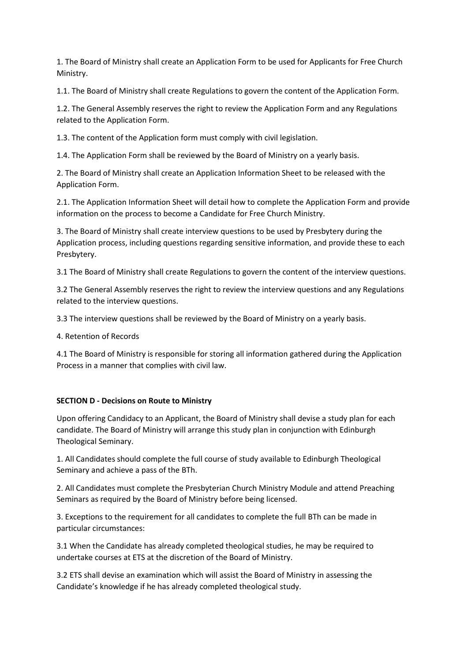1. The Board of Ministry shall create an Application Form to be used for Applicants for Free Church Ministry.

1.1. The Board of Ministry shall create Regulations to govern the content of the Application Form.

1.2. The General Assembly reserves the right to review the Application Form and any Regulations related to the Application Form.

1.3. The content of the Application form must comply with civil legislation.

1.4. The Application Form shall be reviewed by the Board of Ministry on a yearly basis.

2. The Board of Ministry shall create an Application Information Sheet to be released with the Application Form.

2.1. The Application Information Sheet will detail how to complete the Application Form and provide information on the process to become a Candidate for Free Church Ministry.

3. The Board of Ministry shall create interview questions to be used by Presbytery during the Application process, including questions regarding sensitive information, and provide these to each Presbytery.

3.1 The Board of Ministry shall create Regulations to govern the content of the interview questions.

3.2 The General Assembly reserves the right to review the interview questions and any Regulations related to the interview questions.

3.3 The interview questions shall be reviewed by the Board of Ministry on a yearly basis.

4. Retention of Records

4.1 The Board of Ministry is responsible for storing all information gathered during the Application Process in a manner that complies with civil law.

#### **SECTION D - Decisions on Route to Ministry**

Upon offering Candidacy to an Applicant, the Board of Ministry shall devise a study plan for each candidate. The Board of Ministry will arrange this study plan in conjunction with Edinburgh Theological Seminary.

1. All Candidates should complete the full course of study available to Edinburgh Theological Seminary and achieve a pass of the BTh.

2. All Candidates must complete the Presbyterian Church Ministry Module and attend Preaching Seminars as required by the Board of Ministry before being licensed.

3. Exceptions to the requirement for all candidates to complete the full BTh can be made in particular circumstances:

3.1 When the Candidate has already completed theological studies, he may be required to undertake courses at ETS at the discretion of the Board of Ministry.

3.2 ETS shall devise an examination which will assist the Board of Ministry in assessing the Candidate's knowledge if he has already completed theological study.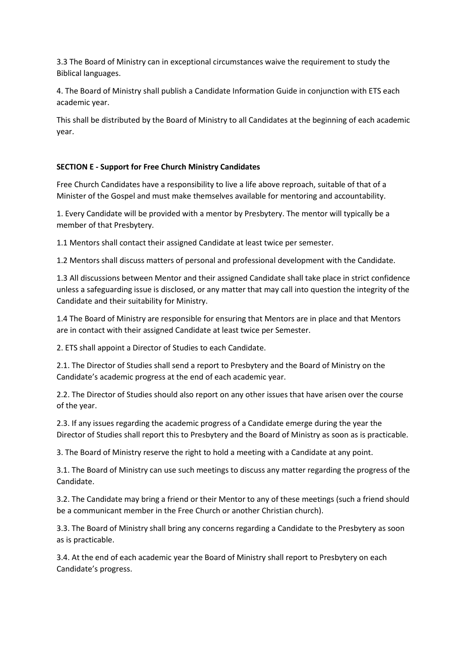3.3 The Board of Ministry can in exceptional circumstances waive the requirement to study the Biblical languages.

4. The Board of Ministry shall publish a Candidate Information Guide in conjunction with ETS each academic year.

This shall be distributed by the Board of Ministry to all Candidates at the beginning of each academic year.

# **SECTION E - Support for Free Church Ministry Candidates**

Free Church Candidates have a responsibility to live a life above reproach, suitable of that of a Minister of the Gospel and must make themselves available for mentoring and accountability.

1. Every Candidate will be provided with a mentor by Presbytery. The mentor will typically be a member of that Presbytery.

1.1 Mentors shall contact their assigned Candidate at least twice per semester.

1.2 Mentors shall discuss matters of personal and professional development with the Candidate.

1.3 All discussions between Mentor and their assigned Candidate shall take place in strict confidence unless a safeguarding issue is disclosed, or any matter that may call into question the integrity of the Candidate and their suitability for Ministry.

1.4 The Board of Ministry are responsible for ensuring that Mentors are in place and that Mentors are in contact with their assigned Candidate at least twice per Semester.

2. ETS shall appoint a Director of Studies to each Candidate.

2.1. The Director of Studies shall send a report to Presbytery and the Board of Ministry on the Candidate's academic progress at the end of each academic year.

2.2. The Director of Studies should also report on any other issues that have arisen over the course of the year.

2.3. If any issues regarding the academic progress of a Candidate emerge during the year the Director of Studies shall report this to Presbytery and the Board of Ministry as soon as is practicable.

3. The Board of Ministry reserve the right to hold a meeting with a Candidate at any point.

3.1. The Board of Ministry can use such meetings to discuss any matter regarding the progress of the Candidate.

3.2. The Candidate may bring a friend or their Mentor to any of these meetings (such a friend should be a communicant member in the Free Church or another Christian church).

3.3. The Board of Ministry shall bring any concerns regarding a Candidate to the Presbytery as soon as is practicable.

3.4. At the end of each academic year the Board of Ministry shall report to Presbytery on each Candidate's progress.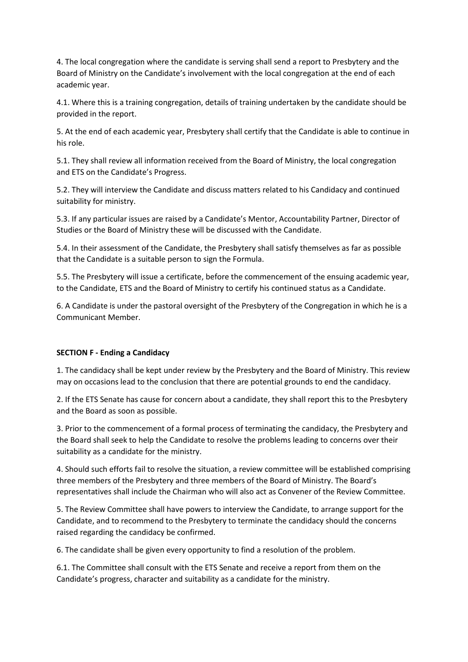4. The local congregation where the candidate is serving shall send a report to Presbytery and the Board of Ministry on the Candidate's involvement with the local congregation at the end of each academic year.

4.1. Where this is a training congregation, details of training undertaken by the candidate should be provided in the report.

5. At the end of each academic year, Presbytery shall certify that the Candidate is able to continue in his role.

5.1. They shall review all information received from the Board of Ministry, the local congregation and ETS on the Candidate's Progress.

5.2. They will interview the Candidate and discuss matters related to his Candidacy and continued suitability for ministry.

5.3. If any particular issues are raised by a Candidate's Mentor, Accountability Partner, Director of Studies or the Board of Ministry these will be discussed with the Candidate.

5.4. In their assessment of the Candidate, the Presbytery shall satisfy themselves as far as possible that the Candidate is a suitable person to sign the Formula.

5.5. The Presbytery will issue a certificate, before the commencement of the ensuing academic year, to the Candidate, ETS and the Board of Ministry to certify his continued status as a Candidate.

6. A Candidate is under the pastoral oversight of the Presbytery of the Congregation in which he is a Communicant Member.

#### **SECTION F - Ending a Candidacy**

1. The candidacy shall be kept under review by the Presbytery and the Board of Ministry. This review may on occasions lead to the conclusion that there are potential grounds to end the candidacy.

2. If the ETS Senate has cause for concern about a candidate, they shall report this to the Presbytery and the Board as soon as possible.

3. Prior to the commencement of a formal process of terminating the candidacy, the Presbytery and the Board shall seek to help the Candidate to resolve the problems leading to concerns over their suitability as a candidate for the ministry.

4. Should such efforts fail to resolve the situation, a review committee will be established comprising three members of the Presbytery and three members of the Board of Ministry. The Board's representatives shall include the Chairman who will also act as Convener of the Review Committee.

5. The Review Committee shall have powers to interview the Candidate, to arrange support for the Candidate, and to recommend to the Presbytery to terminate the candidacy should the concerns raised regarding the candidacy be confirmed.

6. The candidate shall be given every opportunity to find a resolution of the problem.

6.1. The Committee shall consult with the ETS Senate and receive a report from them on the Candidate's progress, character and suitability as a candidate for the ministry.